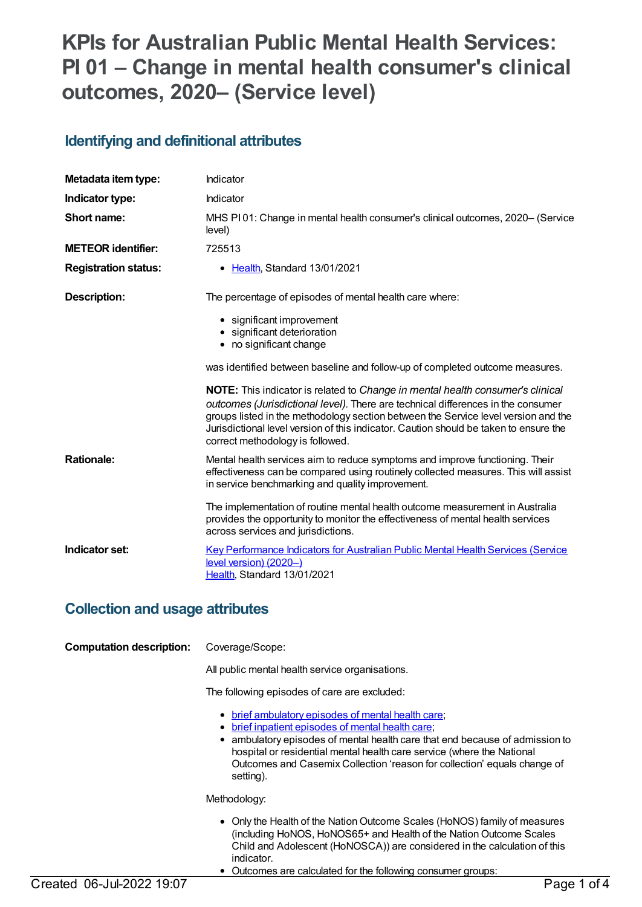# **KPIs for Australian Public Mental Health Services: PI 01 – Change in mental health consumer's clinical outcomes, 2020– (Service level)**

### **Identifying and definitional attributes**

| Metadata item type:         | Indicator                                                                                                                                                                                                                                                                                                                                                                                    |
|-----------------------------|----------------------------------------------------------------------------------------------------------------------------------------------------------------------------------------------------------------------------------------------------------------------------------------------------------------------------------------------------------------------------------------------|
| Indicator type:             | Indicator                                                                                                                                                                                                                                                                                                                                                                                    |
| Short name:                 | MHS PI01: Change in mental health consumer's clinical outcomes, 2020– (Service<br>level)                                                                                                                                                                                                                                                                                                     |
| <b>METEOR identifier:</b>   | 725513                                                                                                                                                                                                                                                                                                                                                                                       |
| <b>Registration status:</b> | • Health, Standard 13/01/2021                                                                                                                                                                                                                                                                                                                                                                |
| Description:                | The percentage of episodes of mental health care where:                                                                                                                                                                                                                                                                                                                                      |
|                             | • significant improvement<br>• significant deterioration<br>• no significant change                                                                                                                                                                                                                                                                                                          |
|                             | was identified between baseline and follow-up of completed outcome measures.                                                                                                                                                                                                                                                                                                                 |
|                             | <b>NOTE:</b> This indicator is related to Change in mental health consumer's clinical<br>outcomes (Jurisdictional level). There are technical differences in the consumer<br>groups listed in the methodology section between the Service level version and the<br>Jurisdictional level version of this indicator. Caution should be taken to ensure the<br>correct methodology is followed. |
| <b>Rationale:</b>           | Mental health services aim to reduce symptoms and improve functioning. Their<br>effectiveness can be compared using routinely collected measures. This will assist<br>in service benchmarking and quality improvement.                                                                                                                                                                       |
|                             | The implementation of routine mental health outcome measurement in Australia<br>provides the opportunity to monitor the effectiveness of mental health services<br>across services and jurisdictions.                                                                                                                                                                                        |
| Indicator set:              | Key Performance Indicators for Australian Public Mental Health Services (Service<br>level version) (2020-)<br>Health, Standard 13/01/2021                                                                                                                                                                                                                                                    |

#### **Collection and usage attributes**

| <b>Computation description:</b> | Coverage/Scope:<br>All public mental health service organisations.                                                                                                                                                                                                                                                                                               |
|---------------------------------|------------------------------------------------------------------------------------------------------------------------------------------------------------------------------------------------------------------------------------------------------------------------------------------------------------------------------------------------------------------|
|                                 | The following episodes of care are excluded:                                                                                                                                                                                                                                                                                                                     |
|                                 | • brief ambulatory episodes of mental health care;<br>brief inpatient episodes of mental health care;<br>٠<br>ambulatory episodes of mental health care that end because of admission to<br>٠<br>hospital or residential mental health care service (where the National<br>Outcomes and Casemix Collection 'reason for collection' equals change of<br>setting). |
|                                 | Methodology:                                                                                                                                                                                                                                                                                                                                                     |
|                                 | • Only the Health of the Nation Outcome Scales (HoNOS) family of measures<br>(including HoNOS, HoNOS65+ and Health of the Nation Outcome Scales<br>Child and Adolescent (HoNOSCA)) are considered in the calculation of this<br>indicator.<br>Outcomes are calculated for the following consumer groups:                                                         |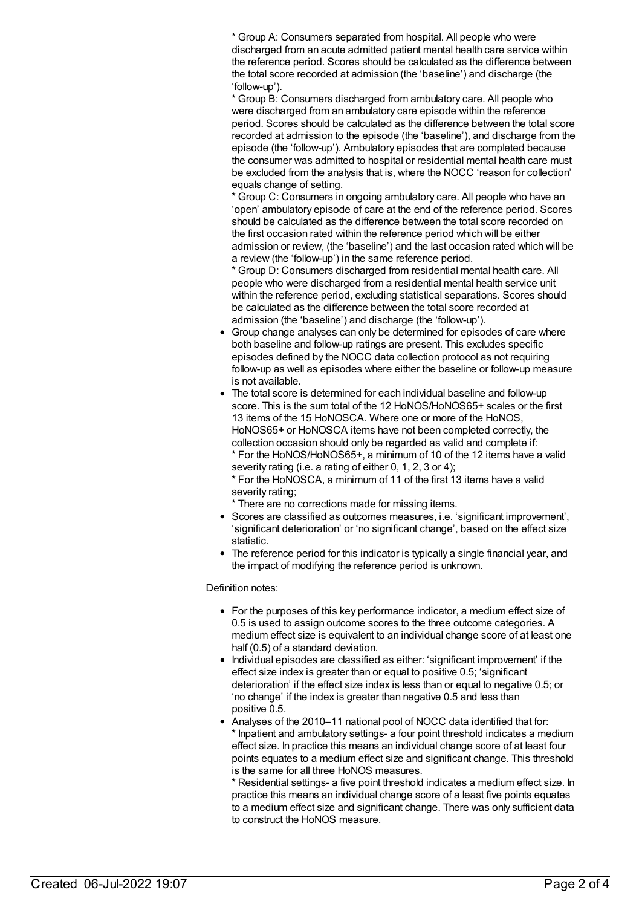\* Group A: Consumers separated from hospital. All people who were discharged from an acute admitted patient mental health care service within the reference period. Scores should be calculated as the difference between the total score recorded at admission (the 'baseline') and discharge (the 'follow-up').

\* Group B: Consumers discharged from ambulatory care. All people who were discharged from an ambulatory care episode within the reference period. Scores should be calculated as the difference between the total score recorded at admission to the episode (the 'baseline'), and discharge from the episode (the 'follow-up'). Ambulatory episodes that are completed because the consumer was admitted to hospital or residential mental health care must be excluded from the analysis that is, where the NOCC 'reason for collection' equals change of setting.

\* Group C: Consumers in ongoing ambulatory care. All people who have an 'open' ambulatory episode of care at the end of the reference period. Scores should be calculated as the difference between the total score recorded on the first occasion rated within the reference period which will be either admission or review, (the 'baseline') and the last occasion rated which will be a review (the 'follow-up') in the same reference period.

\* Group D: Consumers discharged from residential mental health care. All people who were discharged from a residential mental health service unit within the reference period, excluding statistical separations. Scores should be calculated as the difference between the total score recorded at admission (the 'baseline') and discharge (the 'follow-up').

- Group change analyses can only be determined for episodes of care where both baseline and follow-up ratings are present. This excludes specific episodes defined by the NOCC data collection protocol as not requiring follow-up as well as episodes where either the baseline or follow-up measure is not available.
- The total score is determined for each individual baseline and follow-up score. This is the sum total of the 12 HoNOS/HoNOS65+ scales or the first 13 items of the 15 HoNOSCA. Where one or more of the HoNOS, HoNOS65+ or HoNOSCA items have not been completed correctly, the collection occasion should only be regarded as valid and complete if: \* For the HoNOS/HoNOS65+, a minimum of 10 of the 12 items have a valid severity rating (i.e. a rating of either 0, 1, 2, 3 or 4);

\* For the HoNOSCA, a minimum of 11 of the first 13 items have a valid severity rating;

\* There are no corrections made for missing items.

- Scores are classified as outcomes measures, i.e. 'significant improvement', 'significant deterioration' or 'no significant change', based on the effect size statistic.
- The reference period for this indicator is typically a single financial year, and the impact of modifying the reference period is unknown.

#### Definition notes:

- For the purposes of this key performance indicator, a medium effect size of 0.5 is used to assign outcome scores to the three outcome categories. A medium effect size is equivalent to an individual change score of at least one half (0.5) of a standard deviation.
- Individual episodes are classified as either: 'significant improvement' if the effect size index is greater than or equal to positive 0.5; 'significant deterioration' if the effect size index is less than or equal to negative 0.5; or 'no change' if the index is greater than negative 0.5 and less than positive 0.5.
- Analyses of the 2010–11 national pool of NOCC data identified that for: Inpatient and ambulatory settings- a four point threshold indicates a medium effect size. In practice this means an individual change score of at least four points equates to a medium effect size and significant change. This threshold is the same for all three HoNOS measures.

\* Residential settings- a five point threshold indicates a medium effect size. In practice this means an individual change score of a least five points equates to a medium effect size and significant change. There was only sufficient data to construct the HoNOS measure.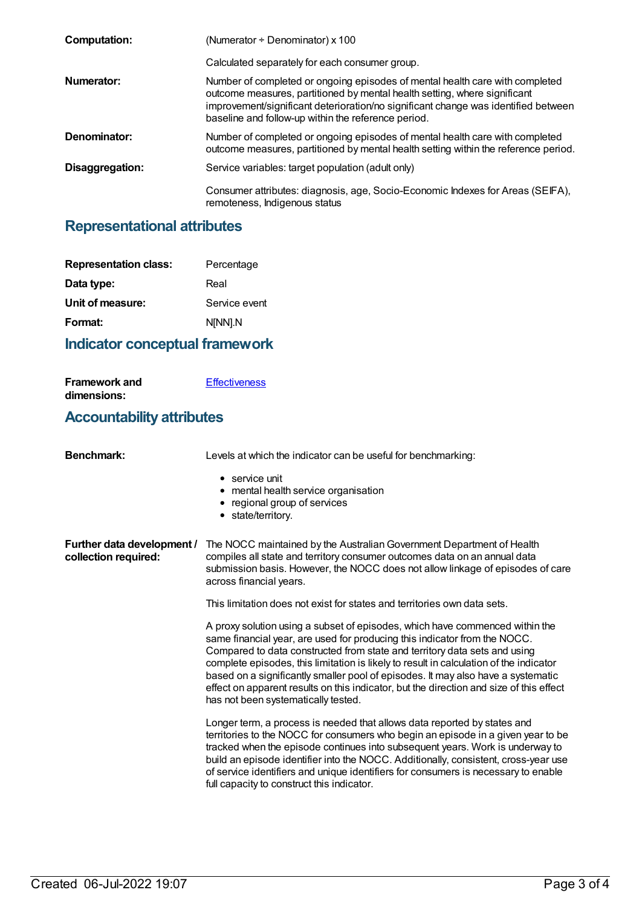| <b>Computation:</b> | (Numerator $\div$ Denominator) x 100                                                                                                                                                                                                                                                                   |
|---------------------|--------------------------------------------------------------------------------------------------------------------------------------------------------------------------------------------------------------------------------------------------------------------------------------------------------|
|                     | Calculated separately for each consumer group.                                                                                                                                                                                                                                                         |
| Numerator:          | Number of completed or ongoing episodes of mental health care with completed<br>outcome measures, partitioned by mental health setting, where significant<br>improvement/significant deterioration/no significant change was identified between<br>baseline and follow-up within the reference period. |
| Denominator:        | Number of completed or ongoing episodes of mental health care with completed<br>outcome measures, partitioned by mental health setting within the reference period.                                                                                                                                    |
| Disaggregation:     | Service variables: target population (adult only)                                                                                                                                                                                                                                                      |
|                     | Consumer attributes: diagnosis, age, Socio-Economic Indexes for Areas (SEIFA),<br>remoteness, Indigenous status                                                                                                                                                                                        |

## **Representational attributes**

| <b>Representation class:</b> | Percentage    |
|------------------------------|---------------|
| Data type:                   | Real          |
| Unit of measure:             | Service event |
| Format:                      | N[NN].N       |
|                              |               |

## **Indicator conceptual framework**

**[Effectiveness](https://meteor.aihw.gov.au/content/721196)** 

**Framework and**

| dimensions:                                        |                                                                                                                                                                                                                                                                                                                                                                                                                                                                                                                                                        |  |
|----------------------------------------------------|--------------------------------------------------------------------------------------------------------------------------------------------------------------------------------------------------------------------------------------------------------------------------------------------------------------------------------------------------------------------------------------------------------------------------------------------------------------------------------------------------------------------------------------------------------|--|
| <b>Accountability attributes</b>                   |                                                                                                                                                                                                                                                                                                                                                                                                                                                                                                                                                        |  |
| <b>Benchmark:</b>                                  | Levels at which the indicator can be useful for benchmarking:                                                                                                                                                                                                                                                                                                                                                                                                                                                                                          |  |
|                                                    | $\bullet$ service unit<br>• mental health service organisation<br>regional group of services<br>٠<br>• state/territory.                                                                                                                                                                                                                                                                                                                                                                                                                                |  |
| Further data development /<br>collection required: | The NOCC maintained by the Australian Government Department of Health<br>compiles all state and territory consumer outcomes data on an annual data<br>submission basis. However, the NOCC does not allow linkage of episodes of care<br>across financial years.                                                                                                                                                                                                                                                                                        |  |
|                                                    | This limitation does not exist for states and territories own data sets.                                                                                                                                                                                                                                                                                                                                                                                                                                                                               |  |
|                                                    | A proxy solution using a subset of episodes, which have commenced within the<br>same financial year, are used for producing this indicator from the NOCC.<br>Compared to data constructed from state and territory data sets and using<br>complete episodes, this limitation is likely to result in calculation of the indicator<br>based on a significantly smaller pool of episodes. It may also have a systematic<br>effect on apparent results on this indicator, but the direction and size of this effect<br>has not been systematically tested. |  |
|                                                    | Longer term, a process is needed that allows data reported by states and<br>territories to the NOCC for consumers who begin an episode in a given year to be<br>tracked when the episode continues into subsequent years. Work is underway to<br>build an episode identifier into the NOCC. Additionally, consistent, cross-year use<br>of service identifiers and unique identifiers for consumers is necessary to enable<br>full capacity to construct this indicator.                                                                               |  |